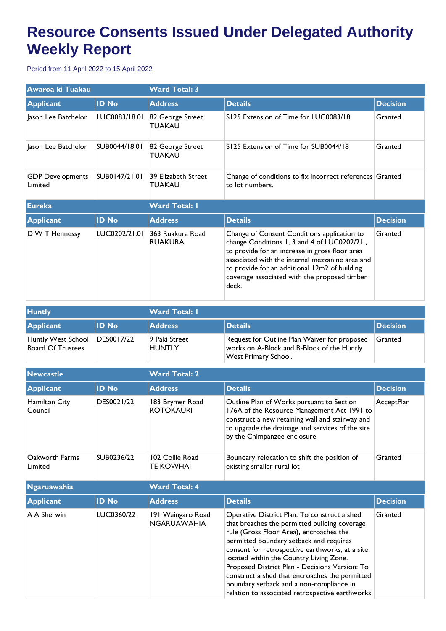## **Resource Consents Issued Under Delegated Authority Weekly Report**

Period from 11 April 2022 to 15 April 2022

| Awaroa ki Tuakau                   |               | <b>Ward Total: 3</b>               |                                                                                                                                                                                                                                                                                                  |                 |  |
|------------------------------------|---------------|------------------------------------|--------------------------------------------------------------------------------------------------------------------------------------------------------------------------------------------------------------------------------------------------------------------------------------------------|-----------------|--|
| <b>Applicant</b>                   | <b>ID No</b>  | <b>Address</b>                     | <b>Details</b>                                                                                                                                                                                                                                                                                   | <b>Decision</b> |  |
| Jason Lee Batchelor                | LUC0083/18.01 | 82 George Street<br><b>TUAKAU</b>  | S125 Extension of Time for LUC0083/18                                                                                                                                                                                                                                                            | Granted         |  |
| Jason Lee Batchelor                | SUB0044/18.01 | 82 George Street<br>TUAKAU         | S125 Extension of Time for SUB0044/18                                                                                                                                                                                                                                                            | Granted         |  |
| <b>GDP</b> Developments<br>Limited | SUB0147/21.01 | 39 Elizabeth Street<br>TUAKAU      | Change of conditions to fix incorrect references Granted<br>to lot numbers.                                                                                                                                                                                                                      |                 |  |
| <b>Eureka</b>                      |               | <b>Ward Total: I</b>               |                                                                                                                                                                                                                                                                                                  |                 |  |
| <b>Applicant</b>                   | <b>ID No</b>  | <b>Address</b>                     | <b>Details</b>                                                                                                                                                                                                                                                                                   | <b>Decision</b> |  |
| D W T Hennessy                     | LUC0202/21.01 | 363 Ruakura Road<br><b>RUAKURA</b> | Change of Consent Conditions application to<br>change Conditions 1, 3 and 4 of LUC0202/21,<br>to provide for an increase in gross floor area<br>associated with the internal mezzanine area and<br>to provide for an additional 12m2 of building<br>coverage associated with the proposed timber | Granted         |  |

| <b>Huntly</b>                           |            | <b>Ward Total: I</b>    |                                                                                                                           |                 |
|-----------------------------------------|------------|-------------------------|---------------------------------------------------------------------------------------------------------------------------|-----------------|
| <b>Applicant</b>                        | ID No      | <b>Address</b>          | <b>Details</b>                                                                                                            | <b>Decision</b> |
| Huntly West School<br>Board Of Trustees | DES0017/22 | 9 Paki Street<br>HUNTLY | Request for Outline Plan Waiver for proposed<br>works on A-Block and B-Block of the Huntly<br><b>West Primary School.</b> | Granted         |

| <b>Newcastle</b>          |              | <b>Ward Total: 2</b>                    |                                                                                                                                                                                                                                                                                                                                                                                                                                                                                      |                 |
|---------------------------|--------------|-----------------------------------------|--------------------------------------------------------------------------------------------------------------------------------------------------------------------------------------------------------------------------------------------------------------------------------------------------------------------------------------------------------------------------------------------------------------------------------------------------------------------------------------|-----------------|
| <b>Applicant</b>          | <b>ID No</b> | <b>Address</b>                          | <b>Details</b>                                                                                                                                                                                                                                                                                                                                                                                                                                                                       | <b>Decision</b> |
| Hamilton City<br>Council  | DES0021/22   | 183 Brymer Road<br><b>ROTOKAURI</b>     | Outline Plan of Works pursuant to Section<br>176A of the Resource Management Act 1991 to<br>construct a new retaining wall and stairway and<br>to upgrade the drainage and services of the site<br>by the Chimpanzee enclosure.                                                                                                                                                                                                                                                      | AcceptPlan      |
| Oakworth Farms<br>Limited | SUB0236/22   | 102 Collie Road<br><b>TE KOWHAI</b>     | Boundary relocation to shift the position of<br>existing smaller rural lot                                                                                                                                                                                                                                                                                                                                                                                                           | Granted         |
| <b>Ngaruawahia</b>        |              | <b>Ward Total: 4</b>                    |                                                                                                                                                                                                                                                                                                                                                                                                                                                                                      |                 |
| <b>Applicant</b>          | <b>ID No</b> | <b>Address</b>                          | <b>Details</b>                                                                                                                                                                                                                                                                                                                                                                                                                                                                       | <b>Decision</b> |
| A A Sherwin               | LUC0360/22   | 191 Waingaro Road<br><b>NGARUAWAHIA</b> | Operative District Plan: To construct a shed<br>that breaches the permitted building coverage<br>rule (Gross Floor Area), encroaches the<br>permitted boundary setback and requires<br>consent for retrospective earthworks, at a site<br>located within the Country Living Zone.<br>Proposed District Plan - Decisions Version: To<br>construct a shed that encroaches the permitted<br>boundary setback and a non-compliance in<br>relation to associated retrospective earthworks | Granted         |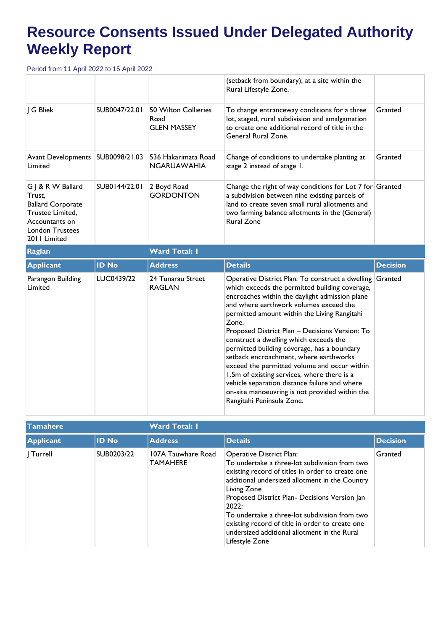## **Resource Consents Issued Under Delegated Authority Weekly Report**

Period from 11 April 2022 to 15 April 2022

|                                                                                                                                         |               |                                                    | (setback from boundary), at a site within the<br>Rural Lifestyle Zone.                                                                                                                                                                |                 |
|-----------------------------------------------------------------------------------------------------------------------------------------|---------------|----------------------------------------------------|---------------------------------------------------------------------------------------------------------------------------------------------------------------------------------------------------------------------------------------|-----------------|
| G Bliek                                                                                                                                 | SUB0047/22.01 | 50 Wilton Collieries<br>Road<br><b>GLEN MASSEY</b> | To change entranceway conditions for a three<br>lot, staged, rural subdivision and amalgamation<br>to create one additional record of title in the<br>General Rural Zone.                                                             | Granted         |
| Avant Developments<br>Limited                                                                                                           | SUB0098/21.03 | 536 Hakarimata Road<br><b>NGARUAWAHIA</b>          | Change of conditions to undertake planting at<br>stage 2 instead of stage 1.                                                                                                                                                          | Granted         |
| G J & R W Ballard<br>Trust.<br><b>Ballard Corporate</b><br>Trustee Limited,<br>Accountants on<br><b>London Trustees</b><br>2011 Limited | SUB0144/22.01 | 2 Boyd Road<br><b>GORDONTON</b>                    | Change the right of way conditions for Lot 7 for Granted<br>a subdivision between nine existing parcels of<br>land to create seven small rural allotments and<br>two farming balance allotments in the (General)<br><b>Rural Zone</b> |                 |
| <b>Raglan</b>                                                                                                                           |               | <b>Ward Total: I</b>                               |                                                                                                                                                                                                                                       |                 |
|                                                                                                                                         |               |                                                    |                                                                                                                                                                                                                                       |                 |
| <b>Applicant</b>                                                                                                                        | <b>ID No</b>  | <b>Address</b>                                     | <b>Details</b>                                                                                                                                                                                                                        | <b>Decision</b> |

| <b>Tamahere</b>  |              | <b>Ward Total: I</b>                  |                                                                                                                                                                                                                                                                                                                                                                                                                                |                 |  |
|------------------|--------------|---------------------------------------|--------------------------------------------------------------------------------------------------------------------------------------------------------------------------------------------------------------------------------------------------------------------------------------------------------------------------------------------------------------------------------------------------------------------------------|-----------------|--|
| <b>Applicant</b> | <b>ID No</b> | <b>Address</b>                        | <b>Details</b>                                                                                                                                                                                                                                                                                                                                                                                                                 | <b>Decision</b> |  |
| Turrell          | SUB0203/22   | 107A Tauwhare Road<br><b>TAMAHERE</b> | Operative District Plan:<br>To undertake a three-lot subdivision from two<br>existing record of titles in order to create one<br>additional undersized allotment in the Country<br>Living Zone<br>Proposed District Plan- Decisions Version Jan<br>2022:<br>To undertake a three-lot subdivision from two<br>existing record of title in order to create one<br>undersized additional allotment in the Rural<br>Lifestyle Zone | Granted         |  |